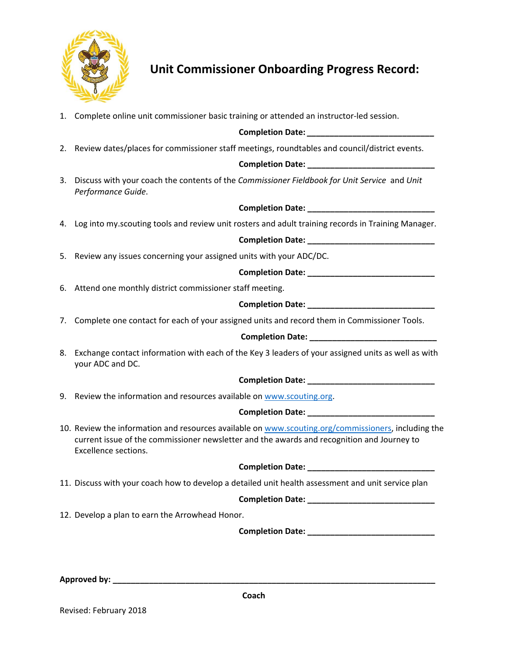

# **Unit Commissioner Onboarding Progress Record:**

1. Complete online unit commissioner basic training or attended an instructor‐led session.

#### **Completion Date:** *\_\_\_\_\_\_\_\_\_\_\_\_\_\_\_\_\_\_\_\_\_\_\_\_\_\_\_\_*

2. Review dates/places for commissioner staff meetings, roundtables and council/district events.

**Completion Date: \_\_\_\_\_\_\_\_\_\_\_\_\_\_\_\_\_\_\_\_\_\_\_\_\_\_\_\_**

3. Discuss with your coach the contents of the *Commissioner Fieldbook for Unit Service*  and *Unit Performance Guide*.

**Completion Date: \_\_\_\_\_\_\_\_\_\_\_\_\_\_\_\_\_\_\_\_\_\_\_\_\_\_\_\_**

4. Log into my.scouting tools and review unit rosters and adult training records in Training Manager.

**Completion Date: \_\_\_\_\_\_\_\_\_\_\_\_\_\_\_\_\_\_\_\_\_\_\_\_\_\_\_\_**

5. Review any issues concerning your assigned units with your ADC/DC.

### **Completion Date: \_\_\_\_\_\_\_\_\_\_\_\_\_\_\_\_\_\_\_\_\_\_\_\_\_\_\_\_**

6. Attend one monthly district commissioner staff meeting.

## **Completion Date: \_\_\_\_\_\_\_\_\_\_\_\_\_\_\_\_\_\_\_\_\_\_\_\_\_\_\_\_**

7. Complete one contact for each of your assigned units and record them in Commissioner Tools.

#### **Completion Date: \_\_\_\_\_\_\_\_\_\_\_\_\_\_\_\_\_\_\_\_\_\_\_\_\_\_\_\_**

8. Exchange contact information with each of the Key 3 leaders of your assigned units as well as with your ADC and DC.

#### **Completion Date: \_\_\_\_\_\_\_\_\_\_\_\_\_\_\_\_\_\_\_\_\_\_\_\_\_\_\_\_**

9. Review the information and resources available on www.scouting.org.

#### **Completion Date: \_\_\_\_\_\_\_\_\_\_\_\_\_\_\_\_\_\_\_\_\_\_\_\_\_\_\_\_**

10. Review the information and resources available on www.scouting.org/commissioners, including the current issue of the commissioner newsletter and the awards and recognition and Journey to Excellence sections.

**Completion Date:**  $\blacksquare$ 

11. Discuss with your coach how to develop a detailed unit health assessment and unit service plan

**Completion Date: \_\_\_\_\_\_\_\_\_\_\_\_\_\_\_\_\_\_\_\_\_\_\_\_\_\_\_\_**

12. Develop a plan to earn the Arrowhead Honor.

**Completion Date: \_\_\_\_\_\_\_\_\_\_\_\_\_\_\_\_\_\_\_\_\_\_\_\_\_\_\_\_**

**Approved by: \_\_\_\_\_\_\_\_\_\_\_\_\_\_\_\_\_\_\_\_\_\_\_\_\_\_\_\_\_\_\_\_\_\_\_\_\_\_\_\_\_\_\_\_\_\_\_\_\_\_\_\_\_\_\_\_\_\_\_\_\_\_\_\_\_\_\_\_\_\_\_** 

Revised: February 2018